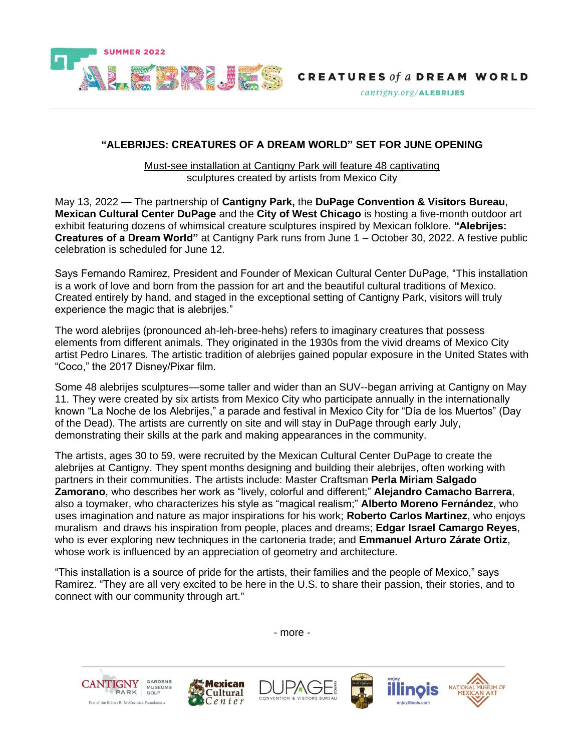

 $cantigny.org/ALEBRIJES$ 

#### **"ALEBRIJES: CREATURES OF A DREAM WORLD" SET FOR JUNE OPENING**

Must-see installation at Cantigny Park will feature 48 captivating sculptures created by artists from Mexico City

May 13, 2022 — The partnership of **Cantigny Park,** the **DuPage Convention & Visitors Bureau**, **Mexican Cultural Center DuPage** and the **City of West Chicago** is hosting a five-month outdoor art exhibit featuring dozens of whimsical creature sculptures inspired by Mexican folklore. **"Alebrijes: Creatures of a Dream World"** at Cantigny Park runs from June 1 – October 30, 2022. A festive public celebration is scheduled for June 12.

Says Fernando Ramirez, President and Founder of Mexican Cultural Center DuPage, "This installation is a work of love and born from the passion for art and the beautiful cultural traditions of Mexico. Created entirely by hand, and staged in the exceptional setting of Cantigny Park, visitors will truly experience the magic that is alebrijes."

The word alebrijes (pronounced ah-leh-bree-hehs) refers to imaginary creatures that possess elements from different animals. They originated in the 1930s from the vivid dreams of Mexico City artist Pedro Linares. The artistic tradition of alebrijes gained popular exposure in the United States with "Coco," the 2017 Disney/Pixar film.

Some 48 alebrijes sculptures—some taller and wider than an SUV--began arriving at Cantigny on May 11. They were created by six artists from Mexico City who participate annually in the internationally known "La Noche de los Alebrijes," a parade and festival in Mexico City for "Día de los Muertos" (Day of the Dead). The artists are currently on site and will stay in DuPage through early July, demonstrating their skills at the park and making appearances in the community.

The artists, ages 30 to 59, were recruited by the Mexican Cultural Center DuPage to create the alebrijes at Cantigny. They spent months designing and building their alebrijes, often working with partners in their communities. The artists include: Master Craftsman **Perla Miriam Salgado Zamorano**, who describes her work as "lively, colorful and different;" **Alejandro Camacho Barrera**, also a toymaker, who characterizes his style as "magical realism;" **Alberto Moreno Fernández**, who uses imagination and nature as major inspirations for his work; **Roberto Carlos Martinez**, who enjoys muralism and draws his inspiration from people, places and dreams; **Edgar Israel Camargo Reyes**, who is ever exploring new techniques in the cartoneria trade; and **Emmanuel Arturo Zárate Ortiz**, whose work is influenced by an appreciation of geometry and architecture.

"This installation is a source of pride for the artists, their families and the people of Mexico," says Ramirez. "They are all very excited to be here in the U.S. to share their passion, their stories, and to connect with our community through art."

- more -











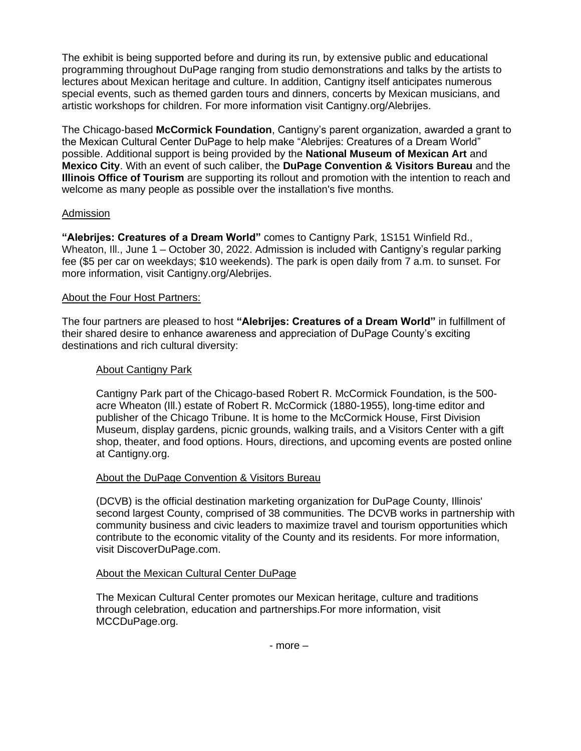The exhibit is being supported before and during its run, by extensive public and educational programming throughout DuPage ranging from studio demonstrations and talks by the artists to lectures about Mexican heritage and culture. In addition, Cantigny itself anticipates numerous special events, such as themed garden tours and dinners, concerts by Mexican musicians, and artistic workshops for children. For more information visit Cantigny.org/Alebrijes.

The Chicago-based **McCormick Foundation**, Cantigny's parent organization, awarded a grant to the Mexican Cultural Center DuPage to help make "Alebrijes: Creatures of a Dream World" possible. Additional support is being provided by the **National Museum of Mexican Art** and **Mexico City**. With an event of such caliber, the **DuPage Convention & Visitors Bureau** and the **Illinois Office of Tourism** are supporting its rollout and promotion with the intention to reach and welcome as many people as possible over the installation's five months.

## Admission

**"Alebrijes: Creatures of a Dream World"** comes to Cantigny Park, 1S151 Winfield Rd., Wheaton, Ill., June 1 – October 30, 2022. Admission is included with Cantigny's regular parking fee (\$5 per car on weekdays; \$10 weekends). The park is open daily from 7 a.m. to sunset. For more information, visit Cantigny.org/Alebrijes.

# About the Four Host Partners:

The four partners are pleased to host **"Alebrijes: Creatures of a Dream World"** in fulfillment of their shared desire to enhance awareness and appreciation of DuPage County's exciting destinations and rich cultural diversity:

# About Cantigny Park

Cantigny Park part of the Chicago-based Robert R. McCormick Foundation, is the 500 acre Wheaton (Ill.) estate of Robert R. McCormick (1880-1955), long-time editor and publisher of the Chicago Tribune. It is home to the McCormick House, First Division Museum, display gardens, picnic grounds, walking trails, and a Visitors Center with a gift shop, theater, and food options. Hours, directions, and upcoming events are posted online at Cantigny.org.

## About the DuPage Convention & Visitors Bureau

(DCVB) is the official destination marketing organization for DuPage County, Illinois' second largest County, comprised of 38 communities. The DCVB works in partnership with community business and civic leaders to maximize travel and tourism opportunities which contribute to the economic vitality of the County and its residents. For more information, visit DiscoverDuPage.com.

## About the Mexican Cultural Center DuPage

The Mexican Cultural Center promotes our Mexican heritage, culture and traditions through celebration, education and partnerships.For more information, visit MCCDuPage.org.